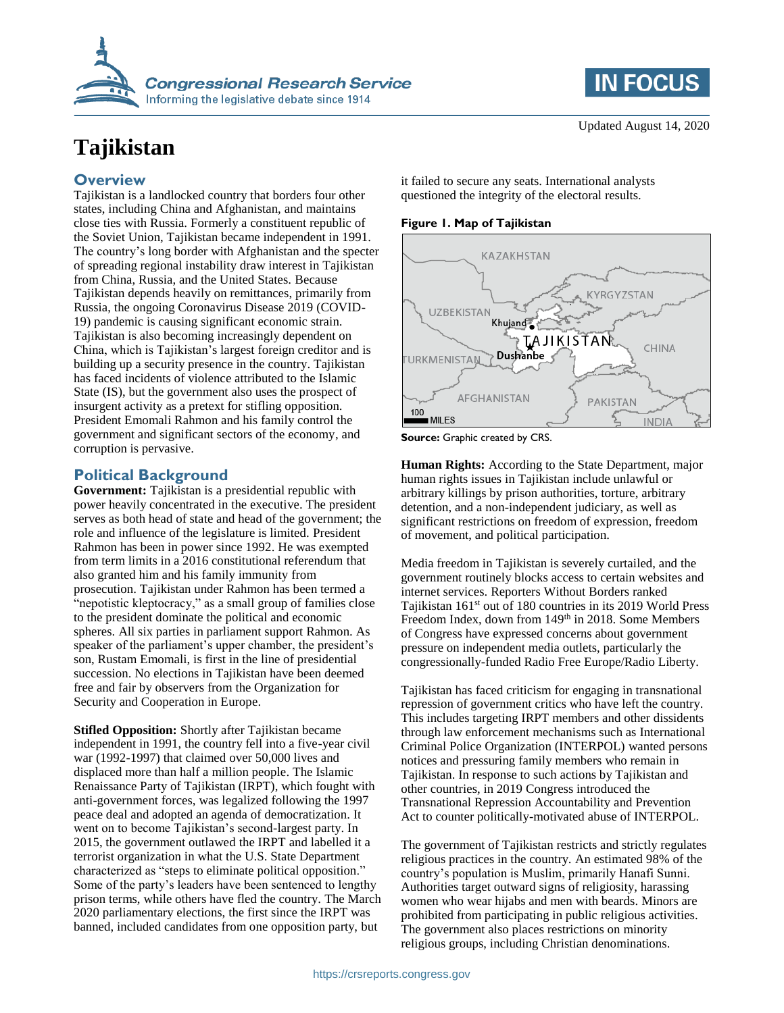

# **Tajikistan**

## **Overview**

Tajikistan is a landlocked country that borders four other states, including China and Afghanistan, and maintains close ties with Russia. Formerly a constituent republic of the Soviet Union, Tajikistan became independent in 1991. The country's long border with Afghanistan and the specter of spreading regional instability draw interest in Tajikistan from China, Russia, and the United States. Because Tajikistan depends heavily on remittances, primarily from Russia, the ongoing Coronavirus Disease 2019 (COVID-19) pandemic is causing significant economic strain. Tajikistan is also becoming increasingly dependent on China, which is Tajikistan's largest foreign creditor and is building up a security presence in the country. Tajikistan has faced incidents of violence attributed to the Islamic State (IS), but the government also uses the prospect of insurgent activity as a pretext for stifling opposition. President Emomali Rahmon and his family control the government and significant sectors of the economy, and corruption is pervasive.

## **Political Background**

**Government:** Tajikistan is a presidential republic with power heavily concentrated in the executive. The president serves as both head of state and head of the government; the role and influence of the legislature is limited. President Rahmon has been in power since 1992. He was exempted from term limits in a 2016 constitutional referendum that also granted him and his family immunity from prosecution. Tajikistan under Rahmon has been termed a "nepotistic kleptocracy," as a small group of families close to the president dominate the political and economic spheres. All six parties in parliament support Rahmon. As speaker of the parliament's upper chamber, the president's son, Rustam Emomali, is first in the line of presidential succession. No elections in Tajikistan have been deemed free and fair by observers from the Organization for Security and Cooperation in Europe.

**Stifled Opposition:** Shortly after Tajikistan became independent in 1991, the country fell into a five-year civil war (1992-1997) that claimed over 50,000 lives and displaced more than half a million people. The Islamic Renaissance Party of Tajikistan (IRPT), which fought with anti-government forces, was legalized following the 1997 peace deal and adopted an agenda of democratization. It went on to become Tajikistan's second-largest party. In 2015, the government outlawed the IRPT and labelled it a terrorist organization in what the U.S. State Department characterized as "steps to eliminate political opposition." Some of the party's leaders have been sentenced to lengthy prison terms, while others have fled the country. The March 2020 parliamentary elections, the first since the IRPT was banned, included candidates from one opposition party, but

**IN FOCUS** 

it failed to secure any seats. International analysts questioned the integrity of the electoral results.

**Figure 1. Map of Tajikistan**



**Source:** Graphic created by CRS.

**Human Rights:** According to the State Department, major human rights issues in Tajikistan include unlawful or arbitrary killings by prison authorities, torture, arbitrary detention, and a non-independent judiciary, as well as significant restrictions on freedom of expression, freedom of movement, and political participation.

Media freedom in Tajikistan is severely curtailed, and the government routinely blocks access to certain websites and internet services. Reporters Without Borders ranked Tajikistan 161st out of 180 countries in its 2019 World Press Freedom Index, down from 149<sup>th</sup> in 2018. Some Members of Congress have expressed concerns about government pressure on independent media outlets, particularly the congressionally-funded Radio Free Europe/Radio Liberty.

Tajikistan has faced criticism for engaging in transnational repression of government critics who have left the country. This includes targeting IRPT members and other dissidents through law enforcement mechanisms such as International Criminal Police Organization (INTERPOL) wanted persons notices and pressuring family members who remain in Tajikistan. In response to such actions by Tajikistan and other countries, in 2019 Congress introduced the Transnational Repression Accountability and Prevention Act to counter politically-motivated abuse of INTERPOL.

The government of Tajikistan restricts and strictly regulates religious practices in the country. An estimated 98% of the country's population is Muslim, primarily Hanafi Sunni. Authorities target outward signs of religiosity, harassing women who wear hijabs and men with beards. Minors are prohibited from participating in public religious activities. The government also places restrictions on minority religious groups, including Christian denominations.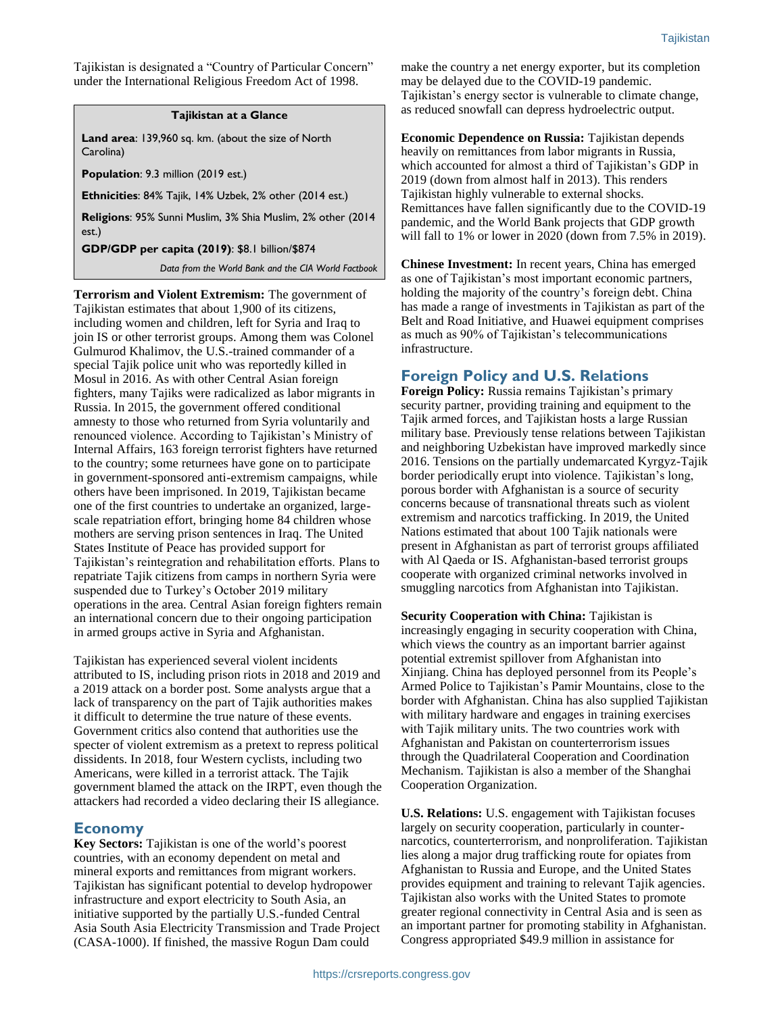Tajikistan is designated a "Country of Particular Concern" under the International Religious Freedom Act of 1998.

#### **Tajikistan at a Glance**

**Land area**: 139,960 sq. km. (about the size of North Carolina)

**Population**: 9.3 million (2019 est.)

**Ethnicities**: 84% Tajik, 14% Uzbek, 2% other (2014 est.)

**Religions**: 95% Sunni Muslim, 3% Shia Muslim, 2% other (2014 est.)

**GDP/GDP per capita (2019)**: \$8.1 billion/\$874

*Data from the World Bank and the CIA World Factbook*

**Terrorism and Violent Extremism:** The government of Tajikistan estimates that about 1,900 of its citizens, including women and children, left for Syria and Iraq to join IS or other terrorist groups. Among them was Colonel Gulmurod Khalimov, the U.S.-trained commander of a special Tajik police unit who was reportedly killed in Mosul in 2016. As with other Central Asian foreign fighters, many Tajiks were radicalized as labor migrants in Russia. In 2015, the government offered conditional amnesty to those who returned from Syria voluntarily and renounced violence. According to Tajikistan's Ministry of Internal Affairs, 163 foreign terrorist fighters have returned to the country; some returnees have gone on to participate in government-sponsored anti-extremism campaigns, while others have been imprisoned. In 2019, Tajikistan became one of the first countries to undertake an organized, largescale repatriation effort, bringing home 84 children whose mothers are serving prison sentences in Iraq. The United States Institute of Peace has provided support for Tajikistan's reintegration and rehabilitation efforts. Plans to repatriate Tajik citizens from camps in northern Syria were suspended due to Turkey's October 2019 military operations in the area. Central Asian foreign fighters remain an international concern due to their ongoing participation in armed groups active in Syria and Afghanistan.

Tajikistan has experienced several violent incidents attributed to IS, including prison riots in 2018 and 2019 and a 2019 attack on a border post. Some analysts argue that a lack of transparency on the part of Tajik authorities makes it difficult to determine the true nature of these events. Government critics also contend that authorities use the specter of violent extremism as a pretext to repress political dissidents. In 2018, four Western cyclists, including two Americans, were killed in a terrorist attack. The Tajik government blamed the attack on the IRPT, even though the attackers had recorded a video declaring their IS allegiance.

### **Economy**

**Key Sectors:** Tajikistan is one of the world's poorest countries, with an economy dependent on metal and mineral exports and remittances from migrant workers. Tajikistan has significant potential to develop hydropower infrastructure and export electricity to South Asia, an initiative supported by the partially U.S.-funded Central Asia South Asia Electricity Transmission and Trade Project (CASA-1000). If finished, the massive Rogun Dam could

make the country a net energy exporter, but its completion may be delayed due to the COVID-19 pandemic. Tajikistan's energy sector is vulnerable to climate change, as reduced snowfall can depress hydroelectric output.

**Economic Dependence on Russia:** Tajikistan depends heavily on remittances from labor migrants in Russia, which accounted for almost a third of Tajikistan's GDP in 2019 (down from almost half in 2013). This renders Tajikistan highly vulnerable to external shocks. Remittances have fallen significantly due to the COVID-19 pandemic, and the World Bank projects that GDP growth will fall to 1% or lower in 2020 (down from 7.5% in 2019).

**Chinese Investment:** In recent years, China has emerged as one of Tajikistan's most important economic partners, holding the majority of the country's foreign debt. China has made a range of investments in Tajikistan as part of the Belt and Road Initiative, and Huawei equipment comprises as much as 90% of Tajikistan's telecommunications infrastructure.

## **Foreign Policy and U.S. Relations**

**Foreign Policy:** Russia remains Tajikistan's primary security partner, providing training and equipment to the Tajik armed forces, and Tajikistan hosts a large Russian military base. Previously tense relations between Tajikistan and neighboring Uzbekistan have improved markedly since 2016. Tensions on the partially undemarcated Kyrgyz-Tajik border periodically erupt into violence. Tajikistan's long, porous border with Afghanistan is a source of security concerns because of transnational threats such as violent extremism and narcotics trafficking. In 2019, the United Nations estimated that about 100 Tajik nationals were present in Afghanistan as part of terrorist groups affiliated with Al Qaeda or IS. Afghanistan-based terrorist groups cooperate with organized criminal networks involved in smuggling narcotics from Afghanistan into Tajikistan.

**Security Cooperation with China:** Tajikistan is increasingly engaging in security cooperation with China, which views the country as an important barrier against potential extremist spillover from Afghanistan into Xinjiang. China has deployed personnel from its People's Armed Police to Tajikistan's Pamir Mountains, close to the border with Afghanistan. China has also supplied Tajikistan with military hardware and engages in training exercises with Tajik military units. The two countries work with Afghanistan and Pakistan on counterterrorism issues through the Quadrilateral Cooperation and Coordination Mechanism. Tajikistan is also a member of the Shanghai Cooperation Organization.

**U.S. Relations:** U.S. engagement with Tajikistan focuses largely on security cooperation, particularly in counternarcotics, counterterrorism, and nonproliferation. Tajikistan lies along a major drug trafficking route for opiates from Afghanistan to Russia and Europe, and the United States provides equipment and training to relevant Tajik agencies. Tajikistan also works with the United States to promote greater regional connectivity in Central Asia and is seen as an important partner for promoting stability in Afghanistan. Congress appropriated \$49.9 million in assistance for